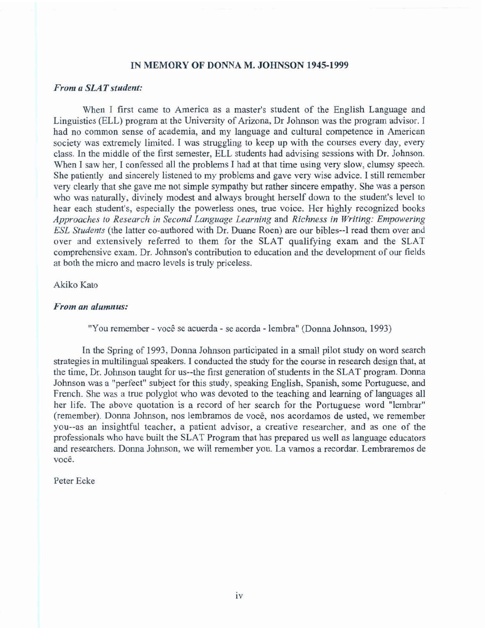# **IN MEMORY OF DONNA M. JOHNSON 1945-1999**

# *From* **a** *SLAT student:*

**When** I **first came to America as a master's student of the English Language and Linguistics (ELL) program at the University of Arizona, Dx Johnson was the program advisor.** I had **no common sense of** academia, **and my language and cultural competence** in **American society was extremely limited. i was struggling to keep up with the courses every day, every class. In the middle of the** first **semester,** ELL **students had advising sessions with Dr. Johnson.**  When I **saw her,** I **confessed** all **the problems** I **had at** that **time** using **very slow, clumsy speech. She patiently and sincerely listened to my problems and gave very wise advice.** I stiII **remember very clearly** that **she gave me** not **simple sympathy but rather sincere empathy. She was a person who was naturally, divinely modest and always brought herself** down **to the student's level to hear each student's, especially the powerless ones,** true **voice. Her highly recognized books Approaches** *to Research in Second Langerage Learning* **and** *Richness in Writing: Empowering ESL Sladdenfs* **(the** Iatter **co-authored with** Dr. **Duane Roen) are our bibles--1 read them over and over and extensively referred to them for the SLAT qualifying exam** and **the SLAT comprehensive exam. Dr. Johnson's** contribution **to education and the development of our fields at** both **the micro** and **macro Ievels is** truly **priceless.** 

### Akiko Kato

#### *From an alumnus:*

**"You remember** - **voce se acuerda** - **se acorda** - lembra" **(Donna Johnson,** f **993)** 

**In the Spring of 1993,** Donna **Johnson participated in a small pilot study on word search strategies in multilingual speakers.** I **conducted the study** for **the course in research design that, at the time, Dr. Johnson taught for us--the first generation of students in** the **SLAT program.** Donna **Johnson was a "perfect" subject for this study, speaking English, Spanish, some Portuguese, and French. She was a true polyglot who was devoted to the teaching and leaning** of **languages** all **her life.** The **above quotation is a record** of **her search for the Portuguese word "lembrar" (remember).** Donna **Johnson, nos lembramos de voc&, nos acordamos de usted, we remember you--as an insightful teacher, a patient advisor, a creative researcher, and as one of the professionals who have** built **the SLAT Program that has prepared** us well **as language educators and researchers. Donna Johnson, we will remember you. La vamos a recordar. Lembraremos de voce\*** 

**Peter Ecke**